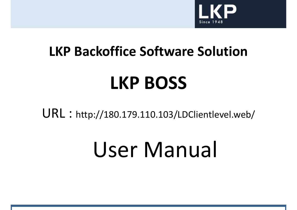

# **LKP Backoffice Software SolutionLKP BOSS**

URL : http://180.179.110.103/LDClientlevel.web/

## User Manual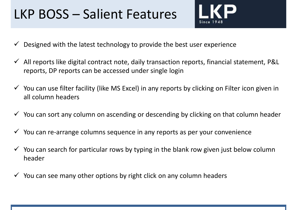### LKP BOSS – Salient Features

- 
- $\checkmark$ Designed with the latest technology to provide the best user experience
- $\checkmark$  All reports like digital contract note, daily transaction reports, financial statement, P&L reports, DP reports can be accessed under single login
- $\checkmark$  You can use filter facility (like MS Excel) in any reports by clicking on Filter icon given in all column headers
- $\checkmark$  You can sort any column on ascending or descending by clicking on that column header
- $\checkmark$  You can re-arrange columns sequence in any reports as per your convenience
- $\checkmark$  You can search for particular rows by typing in the blank row given just below column beaded. header
- $\checkmark$  You can see many other options by right click on any column headers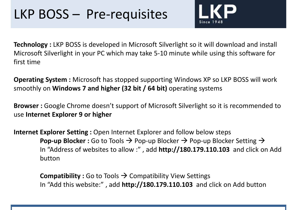#### LKP BOSS – Pre-requisites



**Technology :** LKP BOSS is developed in Microsoft Silverlight so it will download and install Microsoft Silverlight in your PC which may take 5-10 minute while using this software for first time

**Operating System :** Microsoft has stopped supporting Windows XP so LKP BOSS will work smoothly on **Windows 7 and higher (32 bit / 64 bit)** operating systems

**Browser :** Google Chrome doesn't support of Microsoft Silverlight so it is recommended to use **Internet Explorer 9 or higher**

**Internet Explorer Setting :** Open Internet Explorer and follow below steps **Pop-up Blocker :** Go to Tools  $\rightarrow$  Pop-up Blocker  $\rightarrow$  Pop-up Blocker Setting  $\rightarrow$  In "Address of websites to allow :" add **httn://180 179 110 103**, and click o In "Address of websites to allow :" , add **http://180.179.110.103** and click on Add button

**Compatibility :** Go to Tools  $\rightarrow$  Compatibility View Settings<br>In "Add this website:" add **httn://180 179 110 103** and *i* In "Add this website:" , add **http://180.179.110.103** and click on Add button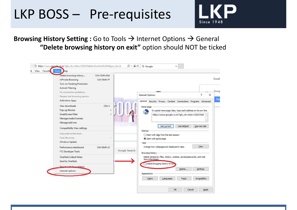#### LKP BOSS – Pre-requisites



**Browsing History Setting :** Go to Tools → Internet Options → General<br>Pelete browsing history on exit" option should NOT be ticke." **"Delete browsing history on exit"** option should NOT be ticked

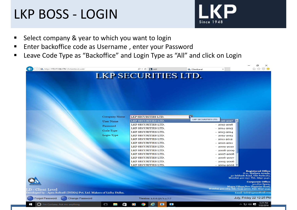#### LKP BOSS - LOGIN



- $\blacksquare$ Select company & year to which you want to login
- $\begin{array}{c} \hline \end{array}$ Enter backoffice code as Username , enter your Password
- Leave Code Type as "Backoffice" and Login Type as "All" and click on Login  $\blacksquare$

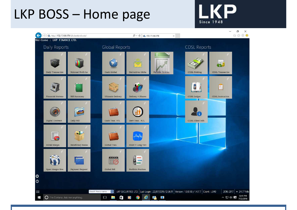### LKP BOSS – Home page



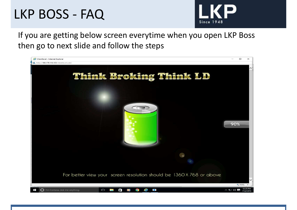#### LKP BOSS - FAQ



If you are getting below screen everytime when you open LKP Boss then go to next slide and follow the steps

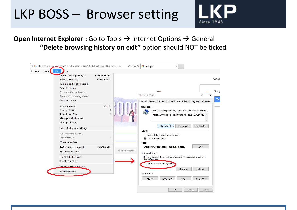#### LKP BOSS – Browser setting



#### **Open Internet Explorer :** Go to Tools → Internet Options → General<br>"Delete browsing bistory on exit" option should NOT be tic **"Delete browsing history on exit"** option should NOT be ticked